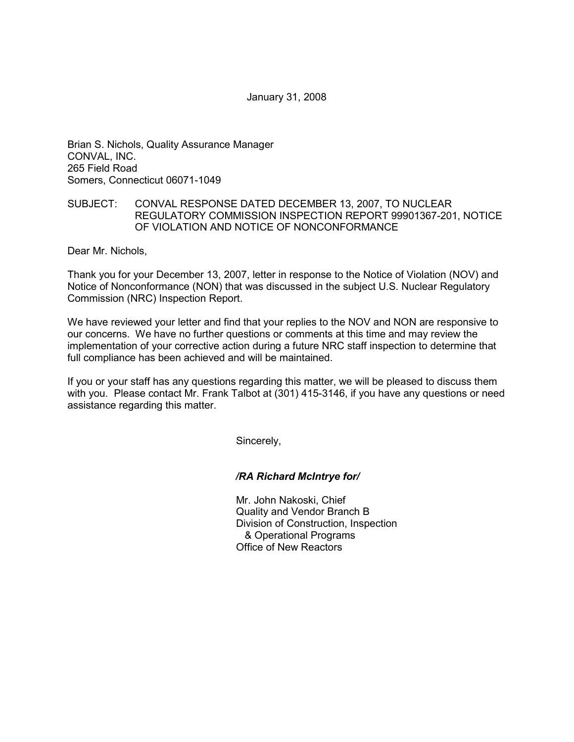January 31, 2008

Brian S. Nichols, Quality Assurance Manager CONVAL, INC. 265 Field Road Somers, Connecticut 06071-1049

## SUBJECT: CONVAL RESPONSE DATED DECEMBER 13, 2007, TO NUCLEAR REGULATORY COMMISSION INSPECTION REPORT 99901367-201, NOTICE OF VIOLATION AND NOTICE OF NONCONFORMANCE

Dear Mr. Nichols,

Thank you for your December 13, 2007, letter in response to the Notice of Violation (NOV) and Notice of Nonconformance (NON) that was discussed in the subject U.S. Nuclear Regulatory Commission (NRC) Inspection Report.

We have reviewed your letter and find that your replies to the NOV and NON are responsive to our concerns. We have no further questions or comments at this time and may review the implementation of your corrective action during a future NRC staff inspection to determine that full compliance has been achieved and will be maintained.

If you or your staff has any questions regarding this matter, we will be pleased to discuss them with you. Please contact Mr. Frank Talbot at (301) 415-3146, if you have any questions or need assistance regarding this matter.

Sincerely,

*/RA Richard McIntrye for/* 

Mr. John Nakoski, Chief Quality and Vendor Branch B Division of Construction, Inspection & Operational Programs Office of New Reactors